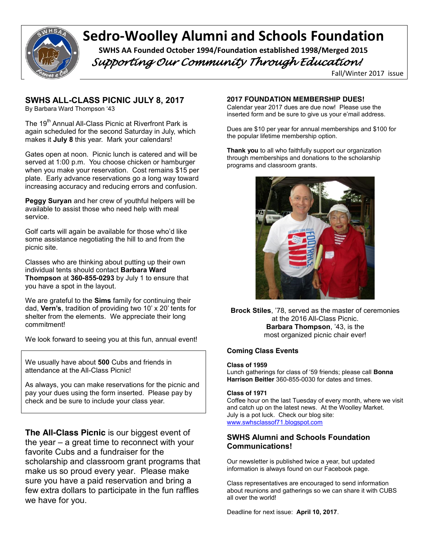

# Sedro-Woolley Alumni and Schools Foundation SWHS AA Founded October 1994/Foundation established 1998/Merged 2015

 *Supporting Our Community Through Education!* 

Fall/Winter 2017 issue

# **SWHS ALL-CLASS PICNIC JULY 8, 2017**

By Barbara Ward Thompson '43

The 19<sup>th</sup> Annual All-Class Picnic at Riverfront Park is again scheduled for the second Saturday in July, which makes it **July 8** this year. Mark your calendars!

Gates open at noon. Picnic lunch is catered and will be served at 1:00 p.m. You choose chicken or hamburger when you make your reservation. Cost remains \$15 per plate. Early advance reservations go a long way toward increasing accuracy and reducing errors and confusion.

**Peggy Suryan** and her crew of youthful helpers will be available to assist those who need help with meal service.

Golf carts will again be available for those who'd like some assistance negotiating the hill to and from the picnic site.

Classes who are thinking about putting up their own individual tents should contact **Barbara Ward Thompson** at **360-855-0293** by July 1 to ensure that you have a spot in the layout.

We are grateful to the **Sims** family for continuing their dad, **Vern's**, tradition of providing two 10' x 20' tents for shelter from the elements. We appreciate their long commitment!

We look forward to seeing you at this fun, annual event!

We usually have about **500** Cubs and friends in attendance at the All-Class Picnic!

As always, you can make reservations for the picnic and pay your dues using the form inserted. Please pay by check and be sure to include your class year.

**The All-Class Picnic** is our biggest event of the year – a great time to reconnect with your favorite Cubs and a fundraiser for the scholarship and classroom grant programs that make us so proud every year. Please make sure you have a paid reservation and bring a few extra dollars to participate in the fun raffles we have for you.

#### **2017 FOUNDATION MEMBERSHIP DUES!**

Calendar year 2017 dues are due now! Please use the inserted form and be sure to give us your e'mail address.

Dues are \$10 per year for annual memberships and \$100 for the popular lifetime membership option.

**Thank you** to all who faithfully support our organization through memberships and donations to the scholarship programs and classroom grants.



**Brock Stiles**, '78, served as the master of ceremonies at the 2016 All-Class Picnic. **Barbara Thompson**, '43, is the most organized picnic chair ever!

#### **Coming Class Events**

**Class of 1959**

Lunch gatherings for class of '59 friends; please call **Bonna Harrison Beitler** 360-855-0030 for dates and times.

#### **Class of 1971**

Coffee hour on the last Tuesday of every month, where we visit and catch up on the latest news. At the Woolley Market. July is a pot luck. Check our blog site: www.swhsclassof71.blogspot.com

#### **SWHS Alumni and Schools Foundation Communications!**

Our newsletter is published twice a year, but updated information is always found on our Facebook page.

Class representatives are encouraged to send information about reunions and gatherings so we can share it with CUBS all over the world!

Deadline for next issue: **April 10, 2017**.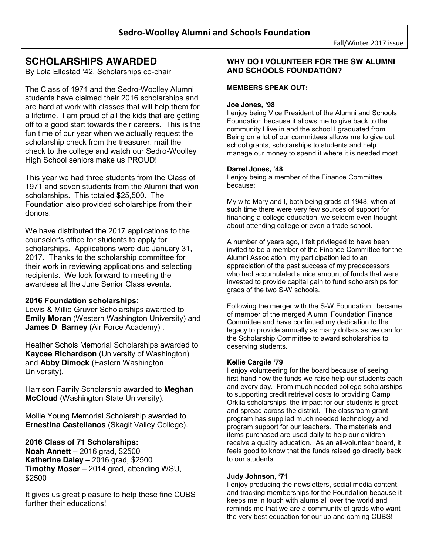# **SCHOLARSHIPS AWARDED**

By Lola Ellestad '42, Scholarships co-chair

The Class of 1971 and the Sedro-Woolley Alumni students have claimed their 2016 scholarships and are hard at work with classes that will help them for a lifetime. I am proud of all the kids that are getting off to a good start towards their careers. This is the fun time of our year when we actually request the scholarship check from the treasurer, mail the check to the college and watch our Sedro-Woolley High School seniors make us PROUD!

This year we had three students from the Class of 1971 and seven students from the Alumni that won scholarships. This totaled \$25,500. The Foundation also provided scholarships from their donors.

We have distributed the 2017 applications to the counselor's office for students to apply for scholarships. Applications were due January 31, 2017. Thanks to the scholarship committee for their work in reviewing applications and selecting recipients. We look forward to meeting the awardees at the June Senior Class events.

#### **2016 Foundation scholarships:**

Lewis & Millie Gruver Scholarships awarded to **Emily Moran** (Western Washington University) and **James D**. **Barney** (Air Force Academy) .

Heather Schols Memorial Scholarships awarded to **Kaycee Richardson** (University of Washington) and **Abby Dimock** (Eastern Washington University).

Harrison Family Scholarship awarded to **Meghan McCloud** (Washington State University).

Mollie Young Memorial Scholarship awarded to **Ernestina Castellanos** (Skagit Valley College).

## **2016 Class of 71 Scholarships:**

**Noah Annett** – 2016 grad, \$2500 **Katherine Daley** – 2016 grad, \$2500 **Timothy Moser** – 2014 grad, attending WSU, \$2500

It gives us great pleasure to help these fine CUBS further their educations!

#### **WHY DO I VOLUNTEER FOR THE SW ALUMNI AND SCHOOLS FOUNDATION?**

#### **MEMBERS SPEAK OUT:**

#### **Joe Jones, '98**

I enjoy being Vice President of the Alumni and Schools Foundation because it allows me to give back to the community I live in and the school I graduated from. Being on a lot of our committees allows me to give out school grants, scholarships to students and help manage our money to spend it where it is needed most.

#### **Darrel Jones, '48**

I enjoy being a member of the Finance Committee because:

My wife Mary and I, both being grads of 1948, when at such time there were very few sources of support for financing a college education, we seldom even thought about attending college or even a trade school.

A number of years ago, I felt privileged to have been invited to be a member of the Finance Committee for the Alumni Association, my participation led to an appreciation of the past success of my predecessors who had accumulated a nice amount of funds that were invested to provide capital gain to fund scholarships for grads of the two S-W schools.

Following the merger with the S-W Foundation I became of member of the merged Alumni Foundation Finance Committee and have continued my dedication to the legacy to provide annually as many dollars as we can for the Scholarship Committee to award scholarships to deserving students.

#### **Kellie Cargile '79**

I enjoy volunteering for the board because of seeing first-hand how the funds we raise help our students each and every day. From much needed college scholarships to supporting credit retrieval costs to providing Camp Orkila scholarships, the impact for our students is great and spread across the district. The classroom grant program has supplied much needed technology and program support for our teachers. The materials and items purchased are used daily to help our children receive a quality education. As an all-volunteer board, it feels good to know that the funds raised go directly back to our students.

#### **Judy Johnson, '71**

I enjoy producing the newsletters, social media content, and tracking memberships for the Foundation because it keeps me in touch with alums all over the world and reminds me that we are a community of grads who want the very best education for our up and coming CUBS!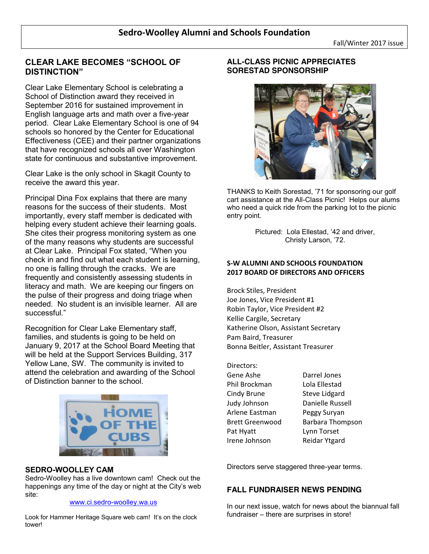# **CLEAR LAKE BECOMES "SCHOOL OF DISTINCTION"**

Clear Lake Elementary School is celebrating a School of Distinction award they received in September 2016 for sustained improvement in English language arts and math over a five-year period. Clear Lake Elementary School is one of 94 schools so honored by the Center for Educational Effectiveness (CEE) and their partner organizations that have recognized schools all over Washington state for continuous and substantive improvement.

Clear Lake is the only school in Skagit County to receive the award this year.

Principal Dina Fox explains that there are many reasons for the success of their students. Most importantly, every staff member is dedicated with helping every student achieve their learning goals. She cites their progress monitoring system as one of the many reasons why students are successful at Clear Lake. Principal Fox stated, "When you check in and find out what each student is learning, no one is falling through the cracks. We are frequently and consistently assessing students in literacy and math. We are keeping our fingers on the pulse of their progress and doing triage when needed. No student is an invisible learner. All are successful."

Recognition for Clear Lake Elementary staff, families, and students is going to be held on January 9, 2017 at the School Board Meeting that will be held at the Support Services Building, 317 Yellow Lane, SW. The community is invited to attend the celebration and awarding of the School of Distinction banner to the school.



## **SEDRO-WOOLLEY CAM**

Sedro-Woolley has a live downtown cam! Check out the happenings any time of the day or night at the City's web site:

#### www.ci.sedro-woolley.wa.us

Look for Hammer Heritage Square web cam! It's on the clock tower!

# **ALL-CLASS PICNIC APPRECIATES SORESTAD SPONSORSHIP**



THANKS to Keith Sorestad, '71 for sponsoring our golf cart assistance at the All-Class Picnic! Helps our alums who need a quick ride from the parking lot to the picnic entry point.

> Pictured: Lola Ellestad, '42 and driver, Christy Larson, '72.

## **S-W ALUMNI AND SCHOOLS FOUNDATION 2017 BOARD OF DIRECTORS AND OFFICERS**

Brock Stiles, President Joe Jones, Vice President #1 Robin Taylor, Vice President #2 Kellie Cargile, Secretary Katherine Olson, Assistant Secretary Pam Baird, Treasurer Bonna Beitler, Assistant Treasurer

Directors: Gene Ashe Darrel Jones Phil Brockman Lola Ellestad Cindy Brune Steve Lidgard Judy Johnson Danielle Russell Arlene Eastman Peggy Suryan Brett Greenwood Barbara Thompson Pat Hyatt Lynn Torset Irene Johnson Reidar Ytgard

Directors serve staggered three-year terms.

## **FALL FUNDRAISER NEWS PENDING**

In our next issue, watch for news about the biannual fall fundraiser – there are surprises in store!